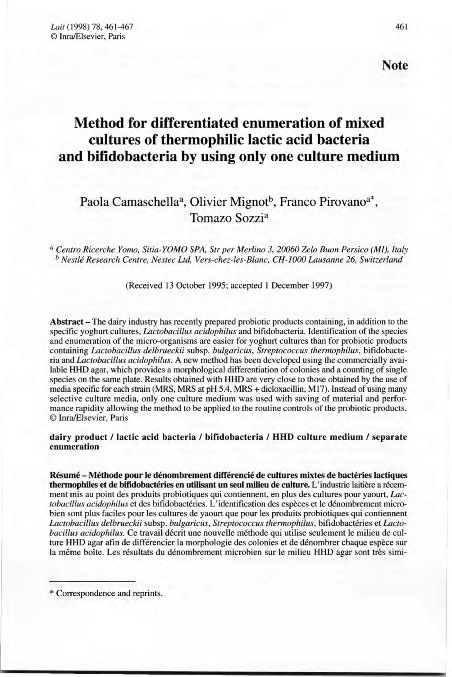*Lait* (1998) 78, 461-467 © InraJElsevier, Paris

# **Method for differentiated enumeration of mixed cultures of thermophilic lactic acid bacteria and bifidobacteria by using only one culture medium**

# Paola Camaschella<sup>a</sup>, Olivier Mignot<sup>b</sup>, Franco Pirovano<sup>a\*</sup>. Tomazo Sozzi<sup>a</sup>

*a Centro Ricerehe Yomo, Sitia-YOMO SPA, Str per Merlino 3,20060 Zelo Buon Persieo (Ml), Italy b Nestlé Researeh Centre, Nestee Ltd, Yers-chez-les-Blanc, CH-JOOOLausanne* 26, *Switzerland*

(Received 13 October 1995; accepted 1 December 1997)

Abstract – The dairy industry has recently prepared probiotic products containing, in addition to the specifie yoghurt cultures, *Laetobacillus acidophilus* and bifidobacteria. Identification of the species and enumeration of the micro-organisms are easier for yoghurt cultures than for probiotic products containing *Laetobaeil/us delbrueekii* subsp. *bulgarieus, Streptoeoeeus thermophilus,* bifidobacteria and *Laetobaeil/us acidophilus.* A new method has been developed using the commercially available HHD agar, which provides a morphological differentiation of colonies and a counting of single species on the same plate. Results obtained with HHD are very close to those obtained by the use of media specifie for each strain (MRS, MRS at pH 5.4, MRS + dicloxacillin, MI7). Instead of using many selective culture media, only one culture medium was used with saving of material and performance rapidity allowing the method to be applied to the routine controls of the probiotic products. © InralElsevier, Paris

dairy product / lactic acid bacteria / bifidobacteria / HHD culture medium / separate enumeration

Résumé - Méthode pour le dénombrement différencié de cultures mixtes de bactéries lactiques thermophiles et de bifidobactéries en utilisant un seul milieu de culture. L'industrie laitière a récemment mis au point des produits probiotiques qui contiennent, en plus des cultures pour yaourt, *Laetobaeil/us acidophilus* et des bifidobactéries. L'identification des espèces et le dénombrement microbien sont plus faciles pour les cultures de yaourt que pour les produits probiotiques qui contiennent *Laetobaeil/us delbrueekii* subsp. *bulgarieus, Streptoeoeeus thermophilus,* bifidobactéries et *Laetobaeil/us acidophilus.* Ce travail décrit une nouvelle méthode qui utilise seulement le milieu de culture HHD agar afin de différencier la morphologie des colonies et de dénombrer chaque espèce sur la même boîte. Les résultats du dénombrement microbien sur le milieu HHD agar sont très simi-

\* Correspondence and reprints.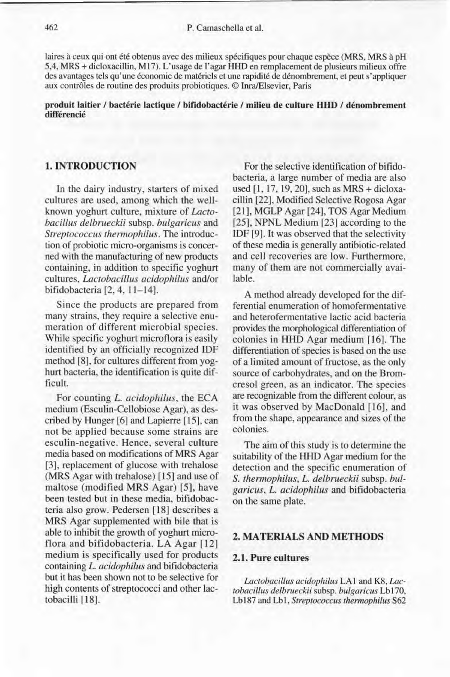laires à ceux qui ont été obtenus avec des milieux spécifiques pour chaque espèce (MRS, MRS à pH 5,4, MRS + dicloxacillin, M 17). L'usage de l'agar HHD en remplacement de plusieurs milieux offre des avantages tels qu'une économie de matériels et une rapidité de dénombrement, et peut s'appliquer aux contrôles de routine des produits probiotiques. © InralElsevier, Paris

#### produit laitier / bactérie lactique / bifidobactérie / milieu de culture HHD / dénombrement différencié

## 1. INTRODUCTION

In the dairy industry, starters of mixed cultures are used, among which the wellknown yoghurt culture, mixture of *Lactobacillus delbrueckii* subsp. *bulgaricus* and *Streptococcus thermophilus.* The introduction of probiotic micro-organisms is concerned with the manufacturing of new products containing, in addition to specifie yoghurt cultures, *Lactobacillus acidophilus* and/or bifidobacteria [2, 4,11-14].

Since the products are prepared from many strains, they require a selective enumeration of different microbial species. While specific yoghurt microflora is easily identified by an officially recognized IDF method [8], for cultures different from yoghurt bacteria, the identification is quite difficult.

For counting *L. acidophilus,* the ECA medium (Esculin-Cellobiose Agar), as described by Hunger [6] and Lapierre [15], can not be applied because sorne strains are esculin-negative, Hence, several culture media based on modifications of MRS Agar [3], replacement of glucose with trehalose (MRS Agar with trehalose) [15] and use of maltose (modified MRS Agar) [5], have been tested but in these media, bifidobacteria also grow. Pedersen [18] describes a MRS Agar supplemented with bile that is able to inhibit the growth of yoghurt microfiora and bifidobacteria. LA Agar [12] medium is specifically used for products containing *L. acidophilus* and bifidobacteria but it has been shown not to be selective for high contents of streptococci and other lactobacilli [18].

For the selective identification of bifidobacteria, a large number of media are also used [l, 17, 19, 20], such as MRS + dicloxacillin [22], Modified Selective Rogosa Agar [21], MGLP Agar [24], TOS Agar Medium [25], NPNL Medium [23] according to the IDF [9]. It was observed that the selectivity of these media is generally antibiotic-related and cell recoveries are low. Furthermore, many of them are not commercially available.

A method already developed for the differential enumeration of homofermentative and heterofermentative lactic acid bacteria provides the morphological differentiation of colonies in HHD Agar medium [16]. The differentiation of species is based on the use of a limited amount of fructose, as the only source of carbohydrates, and on the Bromcresol green, as an indicator. The species are recognizable from the different colour, as it was observed by MacDonald [16], and from the shape, appearance and sizes of the colonies.

The aim of this study is to determine the suitability of the HHD Agar medium for the detection and the specifie enumeration of S. *thermophilus, L. delbrueckii* subsp. *bulgaricus, L. acidophilus* and bifidobacteria on the same plate.

#### 2. MATERIALS AND METHODS

#### 2.1. Pure cultures

*Lactobacillus acidophilus* LA 1 and K8, *Lactobacillus delbrueckii* subsp. *bulgaricus* Lb 170, Lb187 and Lbl, *Streptococcus thennophilus* S62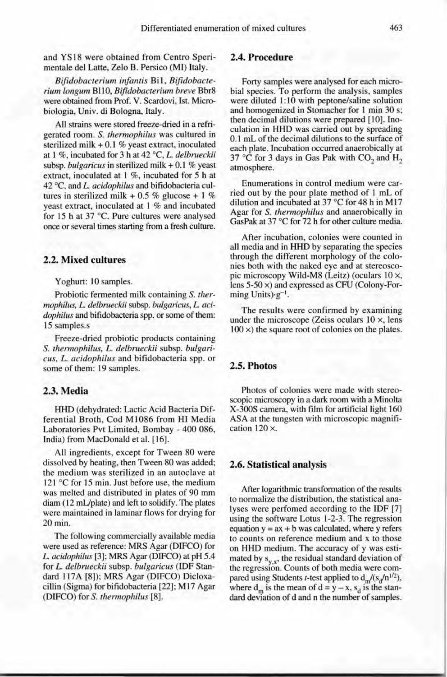and YS 18 were obtained from Centro Sperimentale dei Latte, Zelo B. Persico (MI) Italy.

*Bifidobacterium infantis* Bi l , *Bifidobacterium longum* BII 0, *Bifidobacterium breve* Bbr8 were obtained from Prof. V. Scardovi, Ist. Mierobiologia, Univ. di Bologna, Italy.

Ali strains were stored freeze-dried in a refrigerated room. S. *thermophilus* was cultured in sterilized milk  $+0.1$  % yeast extract, inoculated at 1 %, incubated for 3 h at 42 "C, *L. delbrueckii* subsp. *bulgaricus* in sterilized milk + 0.1 % yeast extract, inoculated at 1 %, incubated for 5 h at 42 "C, and *L. acidophilus* and bifidobacteria cultures in sterilized milk + 0.5 % glucose + 1 % yeast extract, inoculated at 1 % and incubated for 15 h at 37  $^{\circ}$ C. Pure cultures were analysed once or several times starting from a fresh culture.

#### 2.2. Mixed cultures

Yoghurt: 10 samples.

Probiotic fermented milk containing S. *thermophilus, L. delbrueckii* subsp. *bulgaricus, L. acidophilus* and bifidobacteria spp. or some of them: 15 samples.s

Freeze-dried probiotic products containing S. *thermophilus, L. delbrueckii* subsp. *bulgarieus. L. acidophilus* and bifidobacteria spp. or some of them: 19 samples.

#### 2.3. Media

HHD (dehydrated: Lactie Acid Bacteria Differential Broth, Cod M1086 from HI Media Laboratories Pvt Limited, Bombay - 400 086, India) from MacDonald et al. [16].

Ali ingredients, except for Tween 80 were dissolved by heating, then Tween 80 was added; the medium was sterilized in an autoclave at 121°C for 15 min. Just before use, the medium was melted and distributed in plates of 90 mm diam (12 mL/plate) and left to solidify. The plates were maintained in laminar flows for drying for 20 min.

The following commercially available media were used as reference: MRS Agar (DIFCO) for *L. acidophilus* [3]; MRS Agar (DIFCO) at pH 5.4 for *L. delbrueckii* subsp. *bulgaricus* (!DF Standard 117A [8]); MRS Agar (DIFCO) Dicloxacillin (Sigma) for bifidobacteria [22]; M 17 Agar (DIFCO) for S. *thermophilus [8].*

# 2.4. Procedure

Forty samples were analysed for each microbial species. To perform the analysis, samples were diluted 1:10 with peptone/saline solution and homogenized in Stomacher for 1 min 30 s; then decimal dilutions were prepared [10]. Inoculation in HHD was carried out by spreading 0.1 mL of the decimal dilutions to the surface of each plate. Incubation occurred anaerobically at 37 °C for 3 days in Gas Pak with CO<sub>2</sub> and H<sub>2</sub> atmosphere.

Enumerations in control medium were carried out by the pour plate method of 1 mL of dilution and incubated at 37 °C for 48 h in M17 Agar for S. *thermophilus* and anaerobically in GasPak at 37 "C for 72 h for other culture media.

After incubation, colonies were counted in ail media and in HHD by separating the species through the different morphology of the colonies both with the naked eye and at stereoscopic microscopy Wild-M8 (Leitz) (oculars 10 x, lens 5-50 x) and expressed as CFU (Colony-Forming Units) $\cdot$ g<sup>-1</sup>.

The results were confirmed by examining under the microscope (Zeiss oculars  $10 \times$ , lens  $100 \times$ ) the square root of colonies on the plates.

## 2.5. Photos

Photos of colonies were made with stereoscopie microscopy in a dark room with a Minolta X-300S camera, with film for artificial light 160 ASA at the tungsten with mieroscopic magnification 120 x.

#### 2.6. Statistical analysis

After logarithmie transformation of the results to normalize the distribution, the statistical analyses were perfomed according to the IDF [7] using the software Lotus 1-2-3. The regression equation  $y = ax + b$  was calculated, where y refers to counts on reference medium and x to those on HHD medium. The accuracy of y was estimated by  $s_{y,x}$ , the residual standard deviation of the regression, Counts of both media were compared using Students *t*-test applied to  $d_m/(s_d/n^{1/2})$ , where  $d_m$  is the mean of  $d = y - x$ ,  $s_d$  is the standard deviation of d and n the number of samples.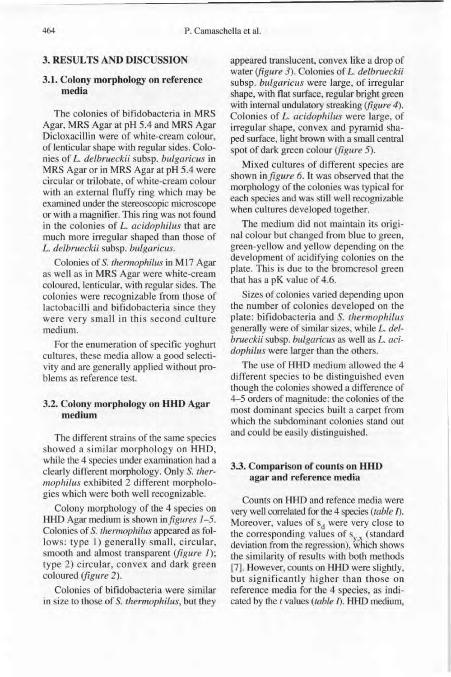# 3. RESULTS AND DISCUSSION

# 3.1. Colony morphology on reference media

The colonies of bifidobacteria in MRS Agar, MRS Agar at pH 5.4 and MRS Agar Dicloxacillin were of white-cream colour, of lenticular shape with regular sides. Colonies of *L. delbrueckii* subsp. *bulgaricus* in MRS Agar or in MRS Agar at pH 5.4 were circular or trilobate, of white-cream colour with an external fluffy ring which may be examined under the stereoscopie microscope or with a magnifier. This ring was not found in the colonies of *L. acidophilus* that are much more irregular shaped than those of *L. delbrueckii* subsp. *bulgaricus.*

Colonies of *S. thermophilus* in M17 Agar as weil as in MRS Agar were white-cream coloured, lenticular, with regular sides. The colonies were recognizable from those of lactobacilli and bifidobacteria since they were very small in this second culture medium.

For the enumeration of specifie yoghurt cultures, these media allow a good selectivity and are generally applied without problems as reference test.

## 3.2. Colony morphology on **UUD** Agar medium

The different strains of the same species showed a similar morphology on HHD, while the 4 species under examination had a clearly different morphology. Only S. *thermophilus* exhibited 2 different morphologies which were both weil recognizable.

Colony morphology of the 4 species on HHD Agar medium is shown *infigures 1-5.* Colonies of S. *thermophilus* appeared as follows: type 1) generally small, circular, smooth and almost transparent *(figure 1);* type 2) circular, convex and dark green coloured *(figure 2).*

Colonies of bifidobacteria were similar in size to those of S. *thermophilus,* but they appeared translucent, convex like a drop of water *(figure* 3). Colonies of *L. delbrueckii* subsp. *bulgaricus* were large, of irregular shape, with tlat surface, regular bright green with internai undulatory streaking *(figure 4).* Colonies of *L. acidophilus* were large, of irregular shape, convex and pyramid shaped surface, light brown with a small central spot of dark green colour *(figure 5).*

Mixed cultures of different species are shown *infigure* 6. It was observed that the morphology of the colonies was typical for each species and was still weil recognizable when cultures developed together.

The medium did not maintain its original colour but changed from blue to green, green-yellow and yellow depending on the development of acidifying colonies on the plate. This is due to the bromcresol green that has a pK value of 4.6.

Sizes of colonies varied depending upon the number of colonies developed on the plate: bifidobacteria and S. *thermophilus* generally were of similar sizes, while *L. delbrueckii* subsp. *bulgaricus* as weil as *L. acidophilus* were larger than the others.

The use of HHD medium allowed the 4 different species to be distinguished even though the colonies showed a difference of 4-5 orders of magnitude: the colonies of the most dominant species built a carpet from which the subdominant colonies stand out and could be easily distinguished.

# 3.3. Comparison of counts on **UUD** agar and reference media

Counts on HHD and refence media were very weil correlated for the 4 species *(table 1).* Moreover, values of  $s_d$  were very close to the corresponding values of  $s_{y,x}$  (standard deviation from the regression), which shows the similarity of results with both methods [7]. However, counts on HHD were slightly, but significantly higher than those on reference media for the 4 species, as indicated by the *t* values *(table* 1). HHD medium,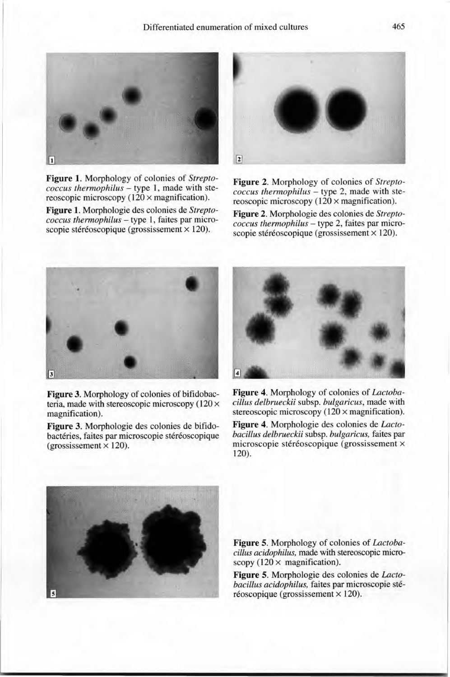

**Figure** 1. Morphology of colonies of *Streptococcus thermophilus -* type l, made with stereoscopic microscopy  $(120 \times$  magnification).

**Figure** 1. Morphologie des colonies de *Streptococcus thermophilus -* type 1, faites par microscopie stéréoscopique (grossissement  $\times$  120).



**Figure** 2. Morphology of colonies of *Streptococcus thermophilus -* type 2, made with stereoscopic microscopy  $(120 \times$  magnification).

**Figure** 2. Morphologie des colonies de *Streptococcus thermophilus -* type 2, faites par microscopie stéréoscopique (grossissement × 120).



**Figure** 3. Morphology of colonies of bifidobacteria, made with stereoscopic microscopy  $(120 \times$ magnification).

**Figure** 3. Morphologie des colonies de bifidobactéries, faites par microscopie stéréoscopique  $(grossissement \times 120)$ .



**Figure** 4. Morphology of colonies of *Lactobacil/us delbrueckii* subsp. *bulgaricus,* made with stereoscopic microscopy (120 × magnification).

**Figure** 4. Morphologie des colonies de *Lactobacil/us delbrueckii* subsp. *bulgaricus,* faites par microscopie stéréoscopique (grossissement x 120).



**Figure** 5. Morphology of colonies of *Lactobacil/us acidophilus,* made with stereoscopie microscopy  $(120 \times$  magnification).

**Figure** 5. Morphologie des colonies de *Lactobacil/us acidophilus,* faites par microscopie sté $r$ éoscopique (grossissement  $\times$  120).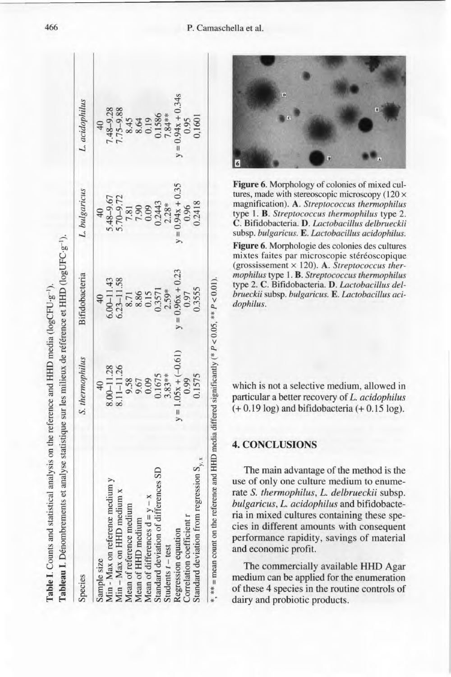| Species                                                                     | S. thermophilus       | Bifidobacteria     | L. bulgaricus                                                         | L. acidophilus                   |
|-----------------------------------------------------------------------------|-----------------------|--------------------|-----------------------------------------------------------------------|----------------------------------|
|                                                                             | 40                    |                    | $\overline{40}$                                                       | 40                               |
| Sample size<br>Min - Max on reference medium y<br>Min - Max on HHD medium x | 8.00-11.28            | $6.00 - 11.43$     | 5.48-9.67                                                             | 7.48-9.28                        |
|                                                                             | 8.11-11.26            | $6.23 - 11.58$     | 5.70-9.72                                                             | $75 - 9.88$                      |
|                                                                             |                       | 8.71               | 7.81                                                                  |                                  |
| Mean of reference medium<br>Mean of HHD medium                              | 9.58<br>0.67<br>0.09  |                    |                                                                       |                                  |
| Mean of differences $d = y - x$                                             |                       | 8.86<br>0.15       |                                                                       |                                  |
| Standard deviation of differences SD                                        | 0.1675                | 0.3571             | $\begin{array}{c}\n 7.90 \\  0.09 \\  0.2443 \\  2.28*\n \end{array}$ | 8.45<br>8.64<br>0.1586<br>7.84** |
| Students $t$ – test                                                         | $3.83**$              | $2.59*$            |                                                                       |                                  |
| Regression equation                                                         | $y = 1.05x + (-0.61)$ | $y = 0.96x + 0.23$ | $= 0.94x + 0.35$                                                      | $y = 0.94x + 0.34s$              |
| Correlation coefficient r                                                   | 0.99                  | 0.97               | 0.96                                                                  | 0.95                             |
| regression $S_{v, x}$<br>Standard deviation from r                          | 0.1575                | 0.3555             | 0.2418                                                                | 0,1601                           |

**Figure** 6. Morphology of colonies of mixed cultures, made with stereoscopic microscopy  $(120 \times$ magnification). A. *Streptococcus thermophilus* type 1. B. *Streptococcus thermophilus* type 2. C. Bifidobacteria. D. *Lactobacillus delbrueckii* subsp. *bulgaricus.* E. *Lactobacillus acidophilus.*

**Figure** 6. Morphologie des colonies des cultures mixtes faites par microscopie stéréoscopique (grossissement x 120). A. *Streptococcus thermophilus* type 1. B. *Streptococcus thermophilus* type 2. C. Bifidobacteria. D. *Lactobacillus delbrueckii* subsp. *bulgaricus.* E. *Lactobacillus acidophilus.*

which is not a selective medium, allowed in particular a better recovery of *L. acidophilus*  $(+ 0.19 \log)$  and bifidobacteria  $(+ 0.15 \log)$ .

### **4. CONCLUSIONS**

The main advantage of the method is the use of only one culture medium to enumerate S. *thennophilus, L. delbrueckii* subsp. *bulgaricus, L. acidophilus* and bifidobacteria in mixed cultures containing these species in different amounts with consequent performance rapidity, savings of material and economie profit.

The commercially available **HHD** Agar medium can be applied for the enumeration of these 4 species in the routine controls of dairy and probiotic products.

**Table I.** Counts and statistical analysis on the reference and HHD media (logCFU· $g^{-1}$ ).

#### 466 P. Camaschella et al.